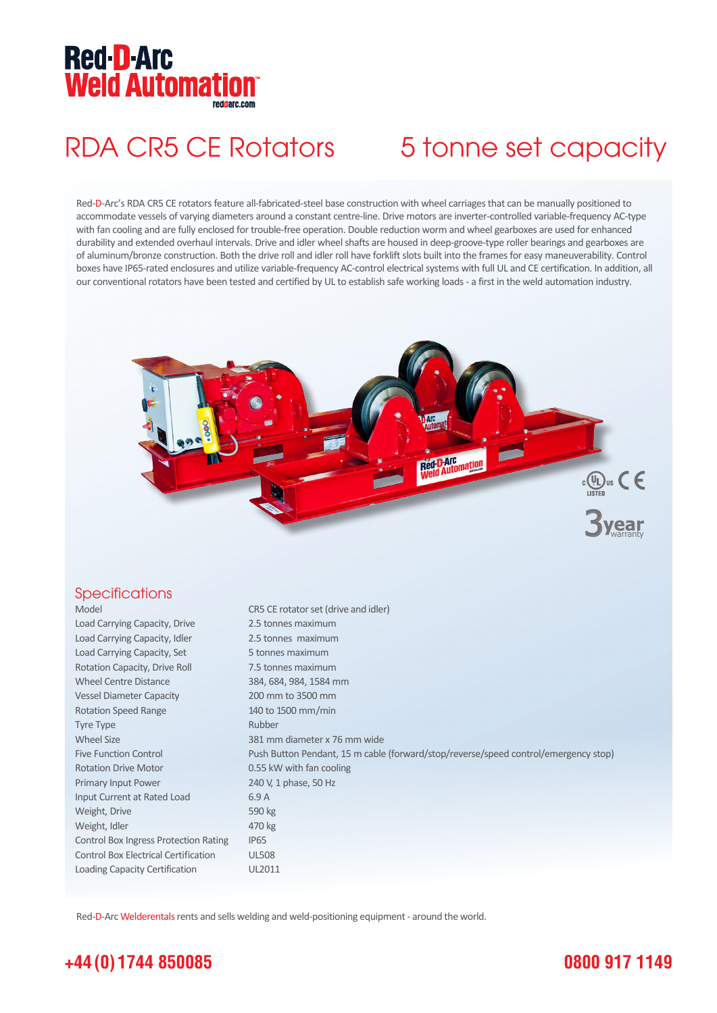# **Red-D-Arc NEU D'AIU<br>Weld Automation**

## RDA CR5 CE Rotators 5 tonne set capacity

Red-D-Arc's RDA CR5 CE rotators feature all-fabricated-steel base construction with wheel carriages that can be manually positioned to accommodate vessels of varying diameters around a constant centre-line. Drive motors are inverter-controlled variable-frequency AC-type with fan cooling and are fully enclosed for trouble-free operation. Double reduction worm and wheel gearboxes are used for enhanced durability and extended overhaul intervals. Drive and idler wheel shafts are housed in deep-groove-type roller bearings and gearboxes are of aluminum/bronze construction. Both the drive roll and idler roll have forklift slots built into the frames for easy maneuverability. Control boxes have IP65-rated enclosures and utilize variable-frequency AC-control electrical systems with full UL and CE certification. In addition, all our conventional rotators have been tested and certified by UL to establish safe working loads - a first in the weld automation industry.



### **Specifications**

| Model                                       | CR5 CE rotator set (drive and idler)                                                |
|---------------------------------------------|-------------------------------------------------------------------------------------|
| Load Carrying Capacity, Drive               | 2.5 tonnes maximum                                                                  |
| Load Carrying Capacity, Idler               | 2.5 tonnes maximum                                                                  |
| Load Carrying Capacity, Set                 | 5 tonnes maximum                                                                    |
| Rotation Capacity, Drive Roll               | 7.5 tonnes maximum                                                                  |
| <b>Wheel Centre Distance</b>                | 384, 684, 984, 1584 mm                                                              |
| <b>Vessel Diameter Capacity</b>             | 200 mm to 3500 mm                                                                   |
| <b>Rotation Speed Range</b>                 | 140 to 1500 mm/min                                                                  |
| <b>Tyre Type</b>                            | Rubber                                                                              |
| <b>Wheel Size</b>                           | 381 mm diameter x 76 mm wide                                                        |
| <b>Five Function Control</b>                | Push Button Pendant, 15 m cable (forward/stop/reverse/speed control/emergency stop) |
| <b>Rotation Drive Motor</b>                 | 0.55 kW with fan cooling                                                            |
| Primary Input Power                         | 240 V, 1 phase, 50 Hz                                                               |
| Input Current at Rated Load                 | 6.9A                                                                                |
| Weight, Drive                               | 590 kg                                                                              |
| Weight, Idler                               | 470 kg                                                                              |
| Control Box Ingress Protection Rating       | IP <sub>65</sub>                                                                    |
| <b>Control Box Electrical Certification</b> | <b>UL508</b>                                                                        |
| Loading Capacity Certification              | UL2011                                                                              |

Red-D-Arc Welderentals rents and sells welding and weld-positioning equipment - around the world.

## **+44 (0) 1744 850085**

## **0800 917 1149**